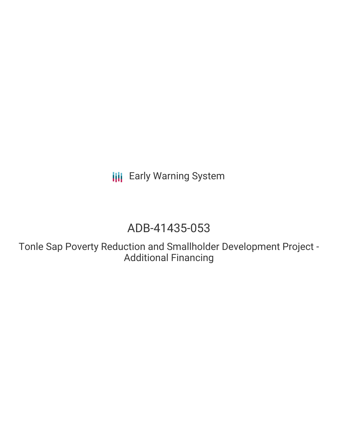**III** Early Warning System

# ADB-41435-053

Tonle Sap Poverty Reduction and Smallholder Development Project - Additional Financing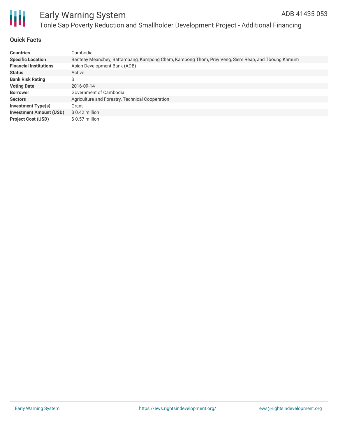

# Early Warning System Tonle Sap Poverty Reduction and Smallholder Development Project - Additional Financing

## **Quick Facts**

| <b>Countries</b>               | Cambodia                                                                                         |
|--------------------------------|--------------------------------------------------------------------------------------------------|
| <b>Specific Location</b>       | Banteay Meanchey, Battambang, Kampong Cham, Kampong Thom, Prey Veng, Siem Reap, and Tboung Khmum |
| <b>Financial Institutions</b>  | Asian Development Bank (ADB)                                                                     |
| <b>Status</b>                  | Active                                                                                           |
| <b>Bank Risk Rating</b>        | B                                                                                                |
| <b>Voting Date</b>             | 2016-09-14                                                                                       |
| <b>Borrower</b>                | Government of Cambodia                                                                           |
| <b>Sectors</b>                 | Agriculture and Forestry, Technical Cooperation                                                  |
| Investment Type(s)             | Grant                                                                                            |
| <b>Investment Amount (USD)</b> | $$0.42$ million                                                                                  |
| <b>Project Cost (USD)</b>      | $$0.57$ million                                                                                  |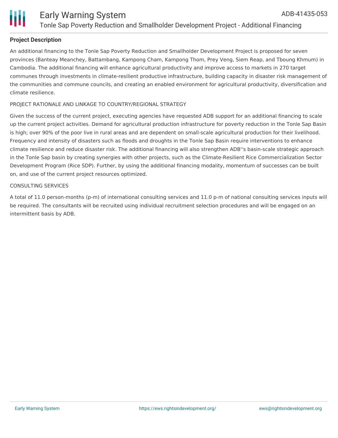

# **Project Description**

An additional financing to the Tonle Sap Poverty Reduction and Smallholder Development Project is proposed for seven provinces (Banteay Meanchey, Battambang, Kampong Cham, Kampong Thom, Prey Veng, Siem Reap, and Tboung Khmum) in Cambodia. The additional financing will enhance agricultural productivity and improve access to markets in 270 target communes through investments in climate-resilient productive infrastructure, building capacity in disaster risk management of the communities and commune councils, and creating an enabled environment for agricultural productivity, diversification and climate resilience.

#### PROJECT RATIONALE AND LINKAGE TO COUNTRY/REGIONAL STRATEGY

Given the success of the current project, executing agencies have requested ADB support for an additional financing to scale up the current project activities. Demand for agricultural production infrastructure for poverty reduction in the Tonle Sap Basin is high; over 90% of the poor live in rural areas and are dependent on small-scale agricultural production for their livelihood. Frequency and intensity of disasters such as floods and droughts in the Tonle Sap Basin require interventions to enhance climate resilience and reduce disaster risk. The additional financing will also strengthen ADB''s basin-scale strategic approach in the Tonle Sap basin by creating synergies with other projects, such as the Climate-Resilient Rice Commercialization Sector Development Program (Rice SDP). Further, by using the additional financing modality, momentum of successes can be built on, and use of the current project resources optimized.

#### CONSULTING SERVICES

A total of 11.0 person-months (p-m) of international consulting services and 11.0 p-m of national consulting services inputs will be required. The consultants will be recruited using individual recruitment selection procedures and will be engaged on an intermittent basis by ADB.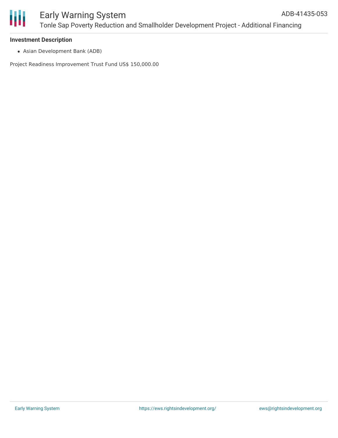## **Investment Description**

Asian Development Bank (ADB)

Project Readiness Improvement Trust Fund US\$ 150,000.00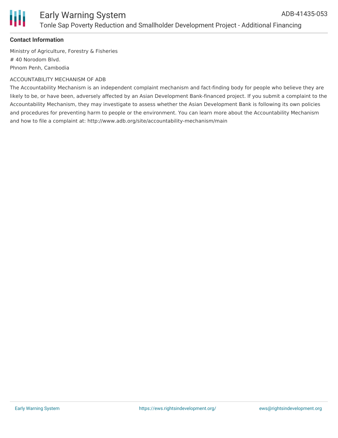

# **Contact Information**

Ministry of Agriculture, Forestry & Fisheries # 40 Norodom Blvd. Phnom Penh, Cambodia

#### ACCOUNTABILITY MECHANISM OF ADB

The Accountability Mechanism is an independent complaint mechanism and fact-finding body for people who believe they are likely to be, or have been, adversely affected by an Asian Development Bank-financed project. If you submit a complaint to the Accountability Mechanism, they may investigate to assess whether the Asian Development Bank is following its own policies and procedures for preventing harm to people or the environment. You can learn more about the Accountability Mechanism and how to file a complaint at: http://www.adb.org/site/accountability-mechanism/main